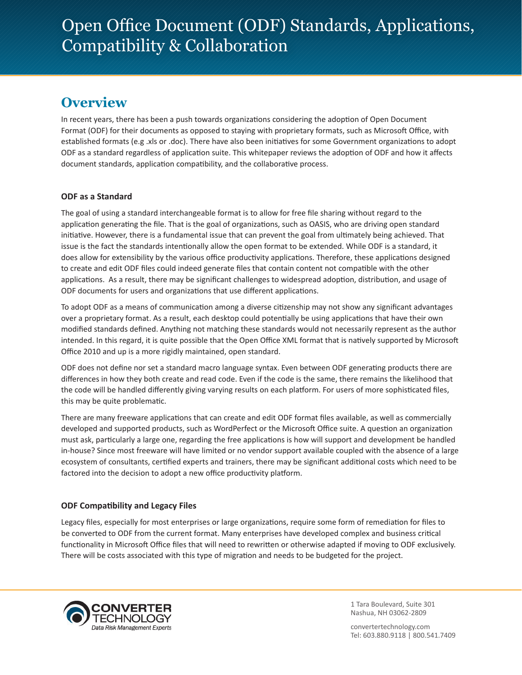# **Overview**

In recent years, there has been a push towards organizations considering the adoption of Open Document Format (ODF) for their documents as opposed to staying with proprietary formats, such as Microsoft Office, with established formats (e.g .xls or .doc). There have also been initiatives for some Government organizations to adopt ODF as a standard regardless of application suite. This whitepaper reviews the adoption of ODF and how it affects document standards, application compatibility, and the collaborative process.

## **ODF as a Standard**

The goal of using a standard interchangeable format is to allow for free file sharing without regard to the application generating the file. That is the goal of organizations, such as OASIS, who are driving open standard initiative. However, there is a fundamental issue that can prevent the goal from ultimately being achieved. That issue is the fact the standards intentionally allow the open format to be extended. While ODF is a standard, it does allow for extensibility by the various office productivity applications. Therefore, these applications designed to create and edit ODF files could indeed generate files that contain content not compatible with the other applications. As a result, there may be significant challenges to widespread adoption, distribution, and usage of ODF documents for users and organizations that use different applications.

To adopt ODF as a means of communication among a diverse citizenship may not show any significant advantages over a proprietary format. As a result, each desktop could potentially be using applications that have their own modified standards defined. Anything not matching these standards would not necessarily represent as the author intended. In this regard, it is quite possible that the Open Office XML format that is natively supported by Microsoft Office 2010 and up is a more rigidly maintained, open standard.

ODF does not define nor set a standard macro language syntax. Even between ODF generating products there are differences in how they both create and read code. Even if the code is the same, there remains the likelihood that the code will be handled differently giving varying results on each platform. For users of more sophisticated files, this may be quite problematic.

There are many freeware applications that can create and edit ODF format files available, as well as commercially developed and supported products, such as WordPerfect or the Microsoft Office suite. A question an organization must ask, particularly a large one, regarding the free applications is how will support and development be handled in-house? Since most freeware will have limited or no vendor support available coupled with the absence of a large ecosystem of consultants, certified experts and trainers, there may be significant additional costs which need to be factored into the decision to adopt a new office productivity platform.

## **ODF Compatibility and Legacy Files**

Legacy files, especially for most enterprises or large organizations, require some form of remediation for files to be converted to ODF from the current format. Many enterprises have developed complex and business critical functionality in Microsoft Office files that will need to rewritten or otherwise adapted if moving to ODF exclusively. There will be costs associated with this type of migration and needs to be budgeted for the project.



1 Tara Boulevard, Suite 301 Nashua, NH 03062-2809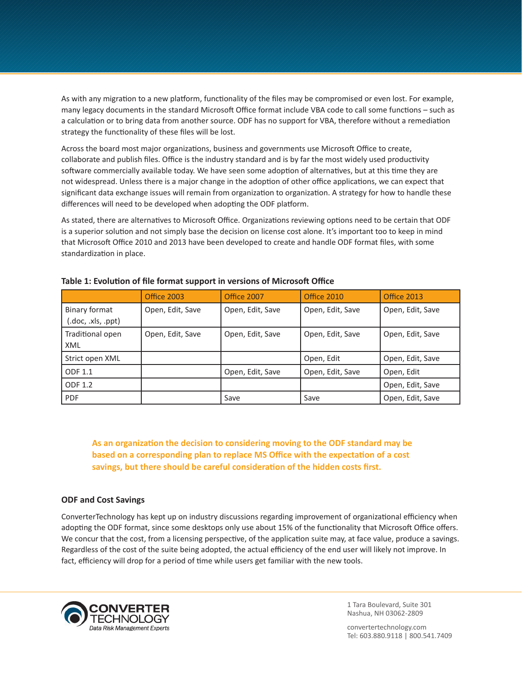As with any migration to a new platform, functionality of the files may be compromised or even lost. For example, many legacy documents in the standard Microsoft Office format include VBA code to call some functions – such as a calculation or to bring data from another source. ODF has no support for VBA, therefore without a remediation strategy the functionality of these files will be lost.

Across the board most major organizations, business and governments use Microsoft Office to create, collaborate and publish files. Office is the industry standard and is by far the most widely used productivity software commercially available today. We have seen some adoption of alternatives, but at this time they are not widespread. Unless there is a major change in the adoption of other office applications, we can expect that significant data exchange issues will remain from organization to organization. A strategy for how to handle these differences will need to be developed when adopting the ODF platform.

As stated, there are alternatives to Microsoft Office. Organizations reviewing options need to be certain that ODF is a superior solution and not simply base the decision on license cost alone. It's important too to keep in mind that Microsoft Office 2010 and 2013 have been developed to create and handle ODF format files, with some standardization in place.

|                                     | <b>Office 2003</b> | <b>Office 2007</b> | <b>Office 2010</b> | <b>Office 2013</b> |
|-------------------------------------|--------------------|--------------------|--------------------|--------------------|
| Binary format<br>(.doc, .xls, .ppt) | Open, Edit, Save   | Open, Edit, Save   | Open, Edit, Save   | Open, Edit, Save   |
| Traditional open<br>XML             | Open, Edit, Save   | Open, Edit, Save   | Open, Edit, Save   | Open, Edit, Save   |
| Strict open XML                     |                    |                    | Open, Edit         | Open, Edit, Save   |
| <b>ODF 1.1</b>                      |                    | Open, Edit, Save   | Open, Edit, Save   | Open, Edit         |
| ODF 1.2                             |                    |                    |                    | Open, Edit, Save   |
| <b>PDF</b>                          |                    | Save               | Save               | Open, Edit, Save   |

| Table 1: Evolution of file format support in versions of Microsoft Office |  |  |  |  |  |
|---------------------------------------------------------------------------|--|--|--|--|--|
|---------------------------------------------------------------------------|--|--|--|--|--|

**As an organization the decision to considering moving to the ODF standard may be based on a corresponding plan to replace MS Office with the expectation of a cost savings, but there should be careful consideration of the hidden costs first.** 

## **ODF and Cost Savings**

ConverterTechnology has kept up on industry discussions regarding improvement of organizational efficiency when adopting the ODF format, since some desktops only use about 15% of the functionality that Microsoft Office offers. We concur that the cost, from a licensing perspective, of the application suite may, at face value, produce a savings. Regardless of the cost of the suite being adopted, the actual efficiency of the end user will likely not improve. In fact, efficiency will drop for a period of time while users get familiar with the new tools.



1 Tara Boulevard, Suite 301 Nashua, NH 03062-2809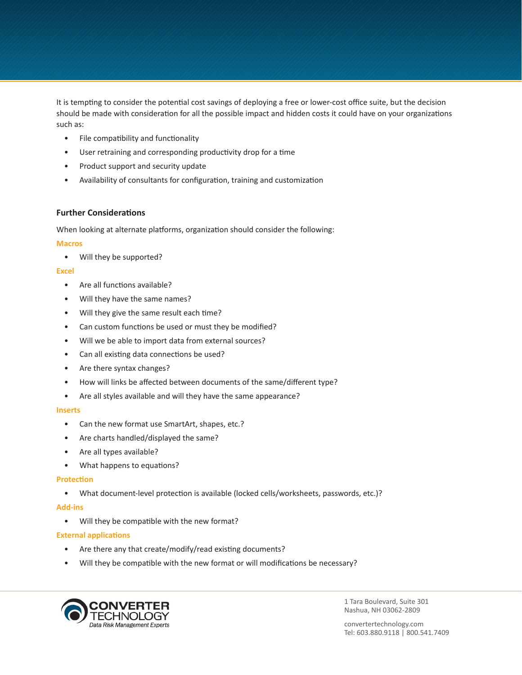It is tempting to consider the potential cost savings of deploying a free or lower-cost office suite, but the decision should be made with consideration for all the possible impact and hidden costs it could have on your organizations such as:

- File compatibility and functionality
- User retraining and corresponding productivity drop for a time
- Product support and security update
- Availability of consultants for configuration, training and customization

## **Further Considerations**

When looking at alternate platforms, organization should consider the following:

#### **Macros**

• Will they be supported?

#### **Excel**

- Are all functions available?
- Will they have the same names?
- Will they give the same result each time?
- Can custom functions be used or must they be modified?
- Will we be able to import data from external sources?
- Can all existing data connections be used?
- Are there syntax changes?
- How will links be affected between documents of the same/different type?
- Are all styles available and will they have the same appearance?

## **Inserts**

- Can the new format use SmartArt, shapes, etc.?
- Are charts handled/displayed the same?
- Are all types available?
- What happens to equations?

## **Protection**

• What document-level protection is available (locked cells/worksheets, passwords, etc.)?

## **Add-ins**

• Will they be compatible with the new format?

## **External applications**

- Are there any that create/modify/read existing documents?
- Will they be compatible with the new format or will modifications be necessary?



1 Tara Boulevard, Suite 301 Nashua, NH 03062-2809